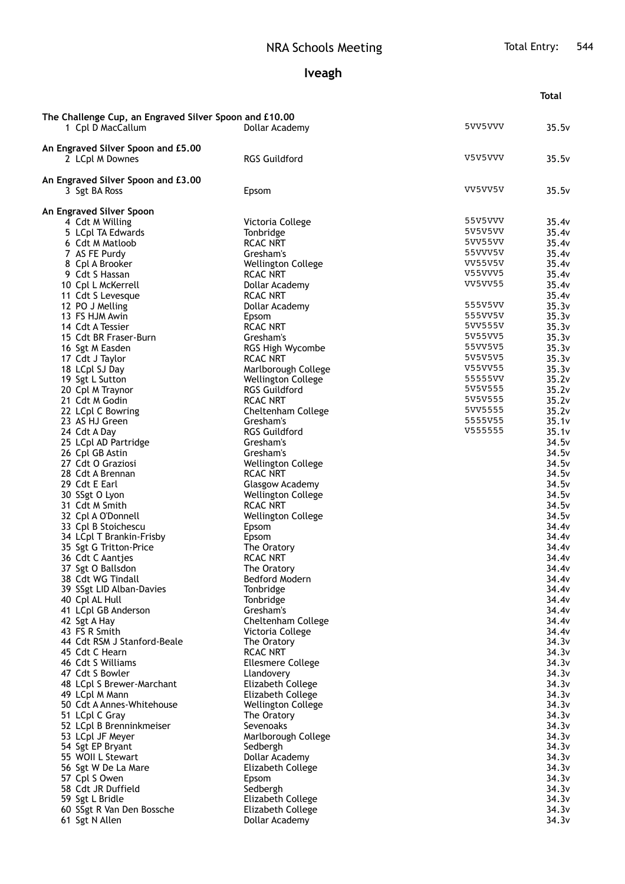## **Iveagh**

|                                                                             |                                   |                           | <b>Total</b>   |
|-----------------------------------------------------------------------------|-----------------------------------|---------------------------|----------------|
|                                                                             |                                   |                           |                |
| The Challenge Cup, an Engraved Silver Spoon and £10.00<br>1 Cpl D MacCallum | Dollar Academy                    | 5VV5VVV                   | 35.5v          |
| An Engraved Silver Spoon and £5.00                                          |                                   |                           |                |
| 2 LCpl M Downes                                                             | <b>RGS Guildford</b>              | V5V5VVV                   | 35.5v          |
| An Engraved Silver Spoon and £3.00                                          |                                   |                           |                |
| 3 Sgt BA Ross                                                               | Epsom                             | VV5VV5V                   | 35.5v          |
| An Engraved Silver Spoon                                                    |                                   |                           |                |
| 4 Cdt M Willing                                                             | Victoria College                  | 55V5VVV                   | 35.4v          |
| 5 LCpl TA Edwards                                                           | Tonbridge                         | 5V5V5VV                   | 35.4v          |
| 6 Cdt M Matloob                                                             | <b>RCAC NRT</b>                   | 5VV55VV                   | 35.4v          |
| 7 AS FE Purdy                                                               | Gresham's                         | 55VVV5V                   | 35.4v          |
| 8 Cpl A Brooker                                                             | <b>Wellington College</b>         | VV55V5V                   | 35.4v          |
| 9 Cdt S Hassan                                                              | <b>RCAC NRT</b>                   | V55VVV5<br><b>VV5VV55</b> | 35.4v          |
| 10 Cpl L McKerrell<br>11 Cdt S Levesque                                     | Dollar Academy<br><b>RCAC NRT</b> |                           | 35.4v<br>35.4v |
| 12 PO J Melling                                                             | Dollar Academy                    | 555V5VV                   | 35.3v          |
| 13 FS HJM Awin                                                              | Epsom                             | 555VV5V                   | 35.3v          |
| 14 Cdt A Tessier                                                            | <b>RCAC NRT</b>                   | 5VV555V                   | 35.3v          |
| 15 Cdt BR Fraser-Burn                                                       | Gresham's                         | 5V55VV5                   | 35.3v          |
| 16 Sgt M Easden                                                             | RGS High Wycombe                  | 55VV5V5                   | 35.3v          |
| 17 Cdt J Taylor                                                             | <b>RCAC NRT</b>                   | 5V5V5V5                   | 35.3v          |
| 18 LCpl SJ Day                                                              | Marlborough College               | V55VV55                   | 35.3v          |
| 19 Sgt L Sutton                                                             | <b>Wellington College</b>         | 55555VV                   | 35.2v          |
| 20 Cpl M Traynor                                                            | <b>RGS Guildford</b>              | 5V5V555                   | 35.2v          |
| 21 Cdt M Godin                                                              | <b>RCAC NRT</b>                   | 5V5V555                   | 35.2v          |
| 22 LCpl C Bowring                                                           | Cheltenham College                | 5VV5555<br>5555V55        | 35.2v          |
| 23 AS HJ Green                                                              | Gresham's<br><b>RGS Guildford</b> | V555555                   | 35.1v          |
| 24 Cdt A Day<br>25 LCpl AD Partridge                                        | Gresham's                         |                           | 35.1v<br>34.5v |
| 26 Cpl GB Astin                                                             | Gresham's                         |                           | 34.5v          |
| 27 Cdt O Graziosi                                                           | <b>Wellington College</b>         |                           | 34.5v          |
| 28 Cdt A Brennan                                                            | <b>RCAC NRT</b>                   |                           | 34.5v          |
| 29 Cdt E Earl                                                               | Glasgow Academy                   |                           | 34.5v          |
| 30 SSgt O Lyon                                                              | Wellington College                |                           | 34.5v          |
| 31 Cdt M Smith                                                              | <b>RCAC NRT</b>                   |                           | 34.5v          |
| 32 Cpl A O'Donnell                                                          | <b>Wellington College</b>         |                           | 34.5v          |
| 33 Cpl B Stoichescu                                                         | Epsom                             |                           | 34.4v          |
| 34 LCpl T Brankin-Frisby                                                    | Epsom                             |                           | 34.4v          |
| 35 Sgt G Tritton-Price<br>36 Cdt C Aantjes                                  | The Oratory<br>RCAC NRT           |                           | 34.4v<br>34.4v |
| 37 Sgt O Ballsdon                                                           | The Oratory                       |                           | 34.4v          |
| 38 Cdt WG Tindall                                                           | Bedford Modern                    |                           | 34.4v          |
| 39 SSgt LID Alban-Davies                                                    | Tonbridge                         |                           | 34.4v          |
| 40 Cpl AL Hull                                                              | Tonbridge                         |                           | 34.4v          |
| 41 LCpl GB Anderson                                                         | Gresham's                         |                           | 34.4v          |
| 42 Sgt A Hay                                                                | Cheltenham College                |                           | 34.4v          |
| 43 FS R Smith                                                               | Victoria College                  |                           | 34.4v          |
| 44 Cdt RSM J Stanford-Beale                                                 | The Oratory                       |                           | 34.3v          |
| 45 Cdt C Hearn                                                              | <b>RCAC NRT</b>                   |                           | 34.3v          |
| 46 Cdt S Williams<br>47 Cdt S Bowler                                        | <b>Ellesmere College</b>          |                           | 34.3v<br>34.3v |
| 48 LCpl S Brewer-Marchant                                                   | Llandovery<br>Elizabeth College   |                           | 34.3v          |
| 49 LCpl M Mann                                                              | Elizabeth College                 |                           | 34.3v          |
| 50 Cdt A Annes-Whitehouse                                                   | <b>Wellington College</b>         |                           | 34.3v          |
| 51 LCpl C Gray                                                              | The Oratory                       |                           | 34.3v          |
| 52 LCpl B Brenninkmeiser                                                    | Sevenoaks                         |                           | 34.3v          |
| 53 LCpl JF Meyer                                                            | Marlborough College               |                           | 34.3v          |
| 54 Sgt EP Bryant                                                            | Sedbergh                          |                           | 34.3v          |
| 55 WOII L Stewart                                                           | Dollar Academy                    |                           | 34.3v          |
| 56 Sgt W De La Mare                                                         | Elizabeth College                 |                           | 34.3v          |
| 57 Cpl S Owen                                                               | Epsom                             |                           | 34.3v          |
| 58 Cdt JR Duffield<br>59 Sgt L Bridle                                       | Sedbergh<br>Elizabeth College     |                           | 34.3v<br>34.3v |
| 60 SSgt R Van Den Bossche                                                   | Elizabeth College                 |                           | 34.3v          |
| 61 Sgt N Allen                                                              | Dollar Academy                    |                           | 34.3v          |
|                                                                             |                                   |                           |                |